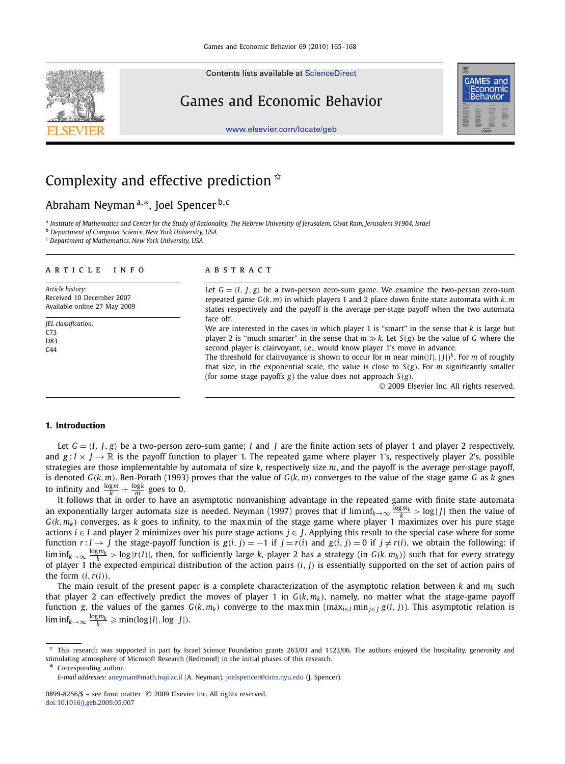Contents lists available at [ScienceDirect](http://www.ScienceDirect.com/)

## Games and Economic Behavior



[www.elsevier.com/locate/geb](http://www.elsevier.com/locate/geb)

# Complexity and effective prediction  $\dot{x}$

Abraham Neyman <sup>a</sup>*,*∗, Joel Spencer <sup>b</sup>*,*<sup>c</sup>

<sup>a</sup> *Institute of Mathematics and Center for the Study of Rationality, The Hebrew University of Jerusalem, Givat Ram, Jerusalem 91904, Israel*

<sup>b</sup> *Department of Computer Science, New York University, USA*

<sup>c</sup> *Department of Mathematics, New York University, USA*

#### article info abstract

*Article history:* Received 10 December 2007 Available online 27 May 2009

*JEL classification:* C73 D83 C44

Let  $G = \langle I, I, g \rangle$  be a two-person zero-sum game. We examine the two-person zero-sum repeated game *G(k,m)* in which players 1 and 2 place down finite state automata with *k,m* states respectively and the payoff is the average per-stage payoff when the two automata face off.

We are interested in the cases in which player 1 is "smart" in the sense that *k* is large but player 2 is "much smarter" in the sense that  $m \gg k$ . Let  $S(g)$  be the value of *G* where the second player is clairvoyant, i.e., would know player 1's move in advance.

The threshold for clairvoyance is shown to occur for *m* near min*(*|*I*|*,*| *J*|*) <sup>k</sup>*. For *m* of roughly that size, in the exponential scale, the value is close to  $S(g)$ . For *m* significantly smaller (for some stage payoffs *g*) the value does not approach *S(g)*.

© 2009 Elsevier Inc. All rights reserved.

#### **1. Introduction**

Let  $G = \langle I, I, g \rangle$  be a two-person zero-sum game; *I* and *I* are the finite action sets of player 1 and player 2 respectively, and  $g: I \times J \to \mathbb{R}$  is the payoff function to player 1. The repeated game where player 1's, respectively player 2's, possible strategies are those implementable by automata of size *k*, respectively size *m*, and the payoff is the average per-stage payoff, is denoted  $G(k, m)$ . Ben-Porath (1993) proves that the value of  $G(k, m)$  converges to the value of the stage game  $G$  as  $k$  goes to infinity and  $\frac{\log m}{k} + \frac{\log k}{m}$  goes to 0.

It follows that in order to have an asymptotic nonvanishing advantage in the repeated game with finite state automata an exponentially larger automata size is needed. Neyman (1997) proves that if lim inf*k*→∞ log*mk <sup>k</sup> >* log | *<sup>J</sup>*| then the value of  $G(k, m_k)$  converges, as *k* goes to infinity, to the maxmin of the stage game where player 1 maximizes over his pure stage actions *i* ∈ *I* and player 2 minimizes over his pure stage actions *j* ∈ *J*. Applying this result to the special case where for some function  $r: I \to J$  the stage-payoff function is  $g(i, j) = -1$  if  $j = r(i)$  and  $g(i, j) = 0$  if  $j \neq r(i)$ , we obtain the following: if  $\liminf_{k\to\infty}\frac{\log m_k}{k}>\log |r(I)|$ , then, for sufficiently large k, player 2 has a strategy (in  $G(k,m_k)$ ) such that for every strategy of player 1 the expected empirical distribution of the action pairs *(i, j)* is essentially supported on the set of action pairs of the form  $(i, r(i))$ .

The main result of the present paper is a complete characterization of the asymptotic relation between  $k$  and  $m_k$  such that player 2 can effectively predict the moves of player 1 in  $G(k, m_k)$ , namely, no matter what the stage-game payoff function g, the values of the games  $G(k, m_k)$  converge to the maxmin (max<sub>iel</sub> min<sub>iel</sub> g(i, j)). This asymptotic relation is  $\liminf_{k\to\infty} \frac{\log m_k}{k} \geqslant \min(\log |I|, \log |J|).$ 

\* Corresponding author.

This research was supported in part by Israel Science Foundation grants 263/03 and 1123/06. The authors enjoyed the hospitality, generosity and stimulating atmosphere of Microsoft Research (Redmond) in the initial phases of this research.

*E-mail addresses:* [aneyman@math.huji.ac.il](mailto:aneyman@math.huji.ac.il) (A. Neyman), [joelspencer@cims.nyu.edu](mailto:joelspencer@cims.nyu.edu) (J. Spencer).

<sup>0899-8256/\$ –</sup> see front matter © 2009 Elsevier Inc. All rights reserved. [doi:10.1016/j.geb.2009.05.007](http://dx.doi.org/10.1016/j.geb.2009.05.007)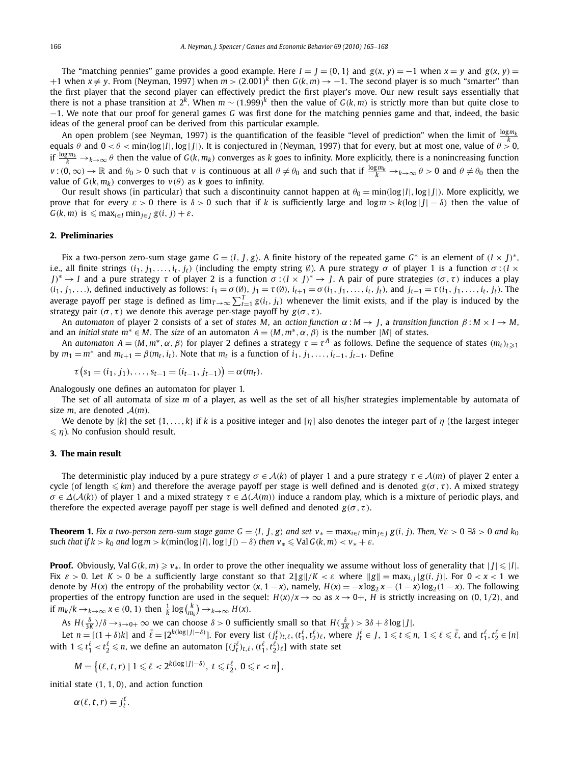The "matching pennies" game provides a good example. Here  $I = J = \{0, 1\}$  and  $g(x, y) = -1$  when  $x = y$  and  $g(x, y) =$  $+1$  when  $x ≠ y$ . From (Neyman, 1997) when  $m > (2.001)^k$  then  $G(k, m) \rightarrow -1$ . The second player is so much "smarter" than the first player that the second player can effectively predict the first player's move. Our new result says essentially that there is not a phase transition at 2<sup>k</sup>. When  $m \sim (1.999)^k$  then the value of  $G(k, m)$  is strictly more than but quite close to −1. We note that our proof for general games *G* was first done for the matching pennies game and that, indeed, the basic ideas of the general proof can be derived from this particular example.

An open problem (see Neyman, 1997) is the quantification of the feasible "level of prediction" when the limit of  $\frac{\log m_k}{L}$ equals *θ* and  $0 < θ < \min(\log |I|, \log |J|)$ . It is conjectured in (Neyman, 1997) that for every, but at most one, value of  $θ > 0$ , if  $\frac{\log m_k}{k} \to_{k \to \infty} \theta$  then the value of  $G(k, m_k)$  converges as  $k$  goes to infinity. More explicitly, there is a nonincreasing function  $v:(0,\infty)\to\mathbb{R}$  and  $\theta_0>0$  such that v is continuous at all  $\theta\neq\theta_0$  and such that if  $\frac{\log m_k}{k}\to_{k\to\infty}\theta>0$  and  $\theta\neq\theta_0$  then the value of  $G(k, m_k)$  converges to  $v(\theta)$  as *k* goes to infinity.

Our result shows (in particular) that such a discontinuity cannot happen at  $\theta_0 = \min(\log|I|, \log|I|)$ . More explicitly, we prove that for every  $\varepsilon > 0$  there is  $\delta > 0$  such that if k is sufficiently large and  $\log m > k(\log |I| - \delta)$  then the value of  $G(k, m)$  is  $\leq m$ *ax<sub>i∈<i>I*</sub> min<sub>*i*∈*I*</sub>  $g(i, j) + \varepsilon$ .

### **2. Preliminaries**

Fix a two-person zero-sum stage game  $G = \langle I, I, g \rangle$ . A finite history of the repeated game  $G^*$  is an element of  $(I \times I)^*$ . i.e., all finite strings  $(i_1, j_1, \ldots, i_t, j_t)$  (including the empty string Ø). A pure strategy  $\sigma$  of player 1 is a function  $\sigma$ :  $(I \times I)$ *J*<sup> $>$ </sup> → *I* and a pure strategy *τ* of player 2 is a function *σ* :*(I* × *J*)<sup>\*</sup> → *J*. A pair of pure strategies *(σ, τ)* induces a play  $(i_1, j_1, \ldots)$ , defined inductively as follows:  $i_1 = \sigma(\emptyset)$ ,  $j_1 = \tau(\emptyset)$ ,  $i_{t+1} = \sigma(i_1, j_1, \ldots, i_t, j_t)$ , and  $j_{t+1} = \tau(i_1, j_1, \ldots, i_t, j_t)$ . The average payoff per stage is defined as  $\lim_{T\to\infty}\sum_{t=1}^T g(i_t,j_t)$  whenever the limit exists, and if the play is induced by the strategy pair  $(\sigma, \tau)$  we denote this average per-stage payoff by  $g(\sigma, \tau)$ .

An *automaton* of player 2 consists of a set of *states M*, an *action function α* : *M* → *J*, a *transition function β* : *M* × *I* → *M*, and an *initial state*  $m^* \in M$ . The *size* of an automaton  $A = \langle M, m^*, \alpha, \beta \rangle$  is the number  $|M|$  of states.

An automaton  $A = (M, m^*, \alpha, \beta)$  for player 2 defines a strategy  $\tau = \tau^A$  as follows. Define the sequence of states  $(m_t)_{t \geqslant 1}$ by  $m_1 = m^*$  and  $m_{t+1} = \beta(m_t, i_t)$ . Note that  $m_t$  is a function of  $i_1, j_1, \ldots, i_{t-1}, j_{t-1}$ . Define

$$
\tau(s_1=(i_1, j_1), \ldots, s_{t-1}=(i_{t-1}, j_{t-1})=\alpha(m_t).
$$

Analogously one defines an automaton for player 1.

The set of all automata of size *m* of a player, as well as the set of all his/her strategies implementable by automata of size *m*, are denoted  $A(m)$ .

We denote by [*k*] the set {1*,...,k*} if *k* is a positive integer and [*η*] also denotes the integer part of *η* (the largest integer  $\leq n$ ). No confusion should result.

#### **3. The main result**

The deterministic play induced by a pure strategy  $\sigma \in A(k)$  of player 1 and a pure strategy  $\tau \in A(m)$  of player 2 enter a cycle (of length  $\leq$  km) and therefore the average payoff per stage is well defined and is denoted  $g(\sigma, \tau)$ . A mixed strategy  $\sigma \in \Delta(\mathcal{A}(k))$  of player 1 and a mixed strategy  $\tau \in \Delta(\mathcal{A}(m))$  induce a random play, which is a mixture of periodic plays, and therefore the expected average payoff per stage is well defined and denoted  $g(\sigma, \tau)$ .

**Theorem 1.** Fix a two-person zero-sum stage game  $G = \langle I, J, g \rangle$  and set  $v_* = \max_{i \in I} \min_{j \in I} g(i, j)$ . Then,  $\forall \varepsilon > 0$   $\nexists \delta > 0$  and  $k_0$ such that if  $k > k_0$  and  $\log m > k(\min(\log|I|, \log|J|) - \delta)$  then  $v_* \leq \text{Val } G(k, m) < v_* + \varepsilon$ .

**Proof.** Obviously, Val  $G(k, m) \geqslant v_*$ . In order to prove the other inequality we assume without loss of generality that  $|J| \leqslant |I|$ . Fix  $\varepsilon > 0$ . Let  $K > 0$  be a sufficiently large constant so that  $2||g||/K < \varepsilon$  where  $||g|| = \max_{i,j} |g(i,j)|$ . For  $0 < x < 1$  we denote by  $H(x)$  the entropy of the probability vector  $(x, 1-x)$ , namely,  $H(x) = -x \log_2 x - (1-x) \log_2 (1-x)$ . The following properties of the entropy function are used in the sequel:  $H(x)/x \to \infty$  as  $x \to 0^+$ ,  $H$  is strictly increasing on  $(0, 1/2)$ , and if  $m_k/k \to_{k \to \infty} x \in (0, 1)$  then  $\frac{1}{k} \log {k \choose m_k} \to_{k \to \infty} H(x)$ .

As  $H(\frac{\delta}{3K})/\delta \to_{\delta \to 0+} \infty$  we can choose  $\delta > 0$  sufficiently small so that  $H(\frac{\delta}{3K}) > 3\delta + \delta \log|J|$ .

Let  $n = [(1 + \delta)k]$  and  $\bar{\ell} = [2^{k(\log |J| - \delta)}]$ . For every list  $(j_{t}^{\ell})_{t,\ell}$ ,  $(t_1^{\ell}, t_2^{\ell})_{\ell}$ , where  $j_t^{\ell} \in J$ ,  $1 \leq t \leq n$ ,  $1 \leq \ell \leq \bar{\ell}$ , and  $t_1^{\ell}, t_2^{\ell} \in [n]$ with  $1 \leqslant t_1^\ell < t_2^\ell \leqslant n$ , we define an automaton  $[(j_t^\ell)_{t,\ell},(t_1^\ell,t_2^\ell)_\ell]$  with state set

$$
M = \big\{ (\ell, t, r) \mid 1 \leq \ell < 2^{k(\log|J| - \delta)}, \ t \leq t_2^{\ell}, \ 0 \leq r < n \big\},
$$

initial state *(*1*,* 1*,* 0*)*, and action function

$$
\alpha(\ell,t,r)=j_t^{\ell}.
$$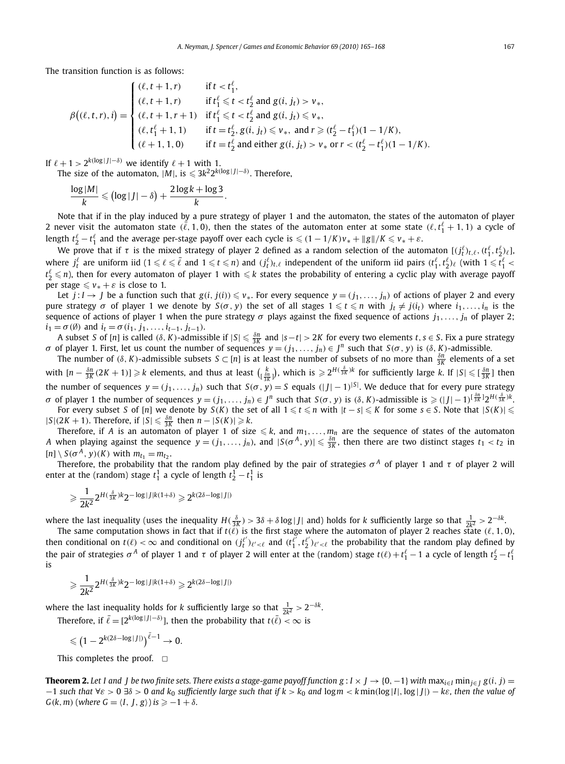The transition function is as follows:

$$
\beta\big((\ell, t, r), i\big) = \begin{cases}\n(\ell, t + 1, r) & \text{if } t < t_1^{\ell}, \\
(\ell, t + 1, r) & \text{if } t_1^{\ell} \leq t < t_2^{\ell} \text{ and } g(i, j_t) > v_*, \\
(\ell, t + 1, r + 1) & \text{if } t_1^{\ell} \leq t < t_2^{\ell} \text{ and } g(i, j_t) \leq v_*, \\
(\ell, t_1^{\ell} + 1, 1) & \text{if } t = t_2^{\ell}, g(i, j_t) \leq v_*, \text{ and } r \geq (t_2^{\ell} - t_1^{\ell})(1 - 1/K), \\
(\ell + 1, 1, 0) & \text{if } t = t_2^{\ell} \text{ and either } g(i, j_t) > v_* \text{ or } r < (t_2^{\ell} - t_1^{\ell})(1 - 1/K).\n\end{cases}
$$

If  $\ell + 1 > 2^{k(\log |J| - \delta)}$  we identify  $\ell + 1$  with 1.

The size of the automaton,  $|M|$ , is  $\leq 3k^2 2^{k(\log |J| - \delta)}$ . Therefore,

$$
\frac{\log|M|}{k} \leqslant (\log|J| - \delta) + \frac{2\log k + \log 3}{k}.
$$

Note that if in the play induced by a pure strategy of player 1 and the automaton, the states of the automaton of player 2 never visit the automaton state  $(\ell, 1, 0)$ , then the states of the automaton enter at some state  $(\ell, t_1^{\ell}+1, 1)$  a cycle of length  $t_2^\ell-t_1^\ell$  and the average per-stage payoff over each cycle is  $\leqslant (1-1/K)v_*+\|g\|/K\leqslant v_*+\varepsilon.$ 

We prove that if  $\tau$  is the mixed strategy of player 2 defined as a random selection of the automaton  $[(j_t^{\ell})_{t,\ell},(t_1^{\ell},t_2^{\ell})_{\ell}]$ where  $j^\ell_t$  are uniform iid ( $1 \leqslant \ell \leqslant \overline{\ell}$  and  $1 \leqslant t \leqslant n$ ) and  $(j^\ell_t)_{t,\ell}$  independent of the uniform iid pairs  $(t^\ell_1,t^\ell_2)_\ell$  (with  $1 \leqslant t^\ell_1 <$  $t_2^\ell\leqslant n$ ), then for every automaton of player 1 with  $\leqslant k$  states the probability of entering a cyclic play with average payoff per stage  $\le v_* + \varepsilon$  is close to 1.

Let  $j: I \to J$  be a function such that  $g(i, j(i)) \leq v_*$ . For every sequence  $y = (j_1, \ldots, j_n)$  of actions of player 2 and every *pure strategy σ* of player 1 we denote by *S*(*σ*, *y*) the set of all stages  $1 ≤ t ≤ n$  with  $j_t ≠ j(i_t)$  where  $i_1, ..., i_n$  is the sequence of actions of player 1 when the pure strategy  $\sigma$  plays against the fixed sequence of actions  $j_1, \ldots, j_n$  of player 2;  $i_1 = \sigma(\emptyset)$  and  $i_t = \sigma(i_1, j_1, \ldots, i_{t-1}, j_{t-1}).$ 

A subset S of [n] is called (8, K)-admissible if  $|S|\leqslant\frac{\delta n}{3K}$  and  $|s-t|>2K$  for every two elements  $t,s\in S$ . Fix a pure strategy  $\sigma$  of player 1. First, let us count the number of sequences  $y=(j_1,\ldots,j_n)\in J^n$  such that  $S(\sigma, y)$  is  $(\delta, K)$ -admissible.

The number of  $(\delta, K)$ -admissible subsets  $S \subset [n]$  is at least the number of subsets of no more than  $\frac{\delta n}{3K}$  elements of a set with  $[n-\frac{\delta n}{3K}(2K+1)]\geqslant k$  elements, and thus at least  $\binom{k}{\lfloor \frac{\delta n}{3K}\rfloor}$ , which is  $\geqslant 2^{H(\frac{\delta}{3K})k}$  for sufficiently large k. If  $|S|\leqslant \lfloor \frac{\delta n}{3K}\rfloor$  then the number of sequences  $y=(j_1,\ldots,j_n)$  such that  $S(\sigma,\vec{y})=S$  equals  $(|J|-1)^{|S|}$ . We deduce that for every pure strategy  $\sigma$  of player 1 the number of sequences  $y=(j_1,\ldots,j_n)\in J^n$  such that  $S(\sigma, y)$  is  $(\delta, K)$ -admissible is  $\geqslant (|J|-1)^{[\frac{\delta n}{3K}]}2^{H(\frac{\delta}{3K})k}$ .

For every subset S of [n] we denote by  $S(K)$  the set of all  $1 \le t \le n$  with  $|t - s| \le K$  for some  $s \in S$ . Note that  $|S(K)| \le$  $|S|(2K + 1)$ . Therefore, if  $|S| ≤ \frac{\delta n}{3K}$  then  $n - |S(K)| ≥ k$ .

Therefore, if *A* is an automaton of player 1 of size  $\leqslant$   $k$ , and  $m_1,\ldots,m_n$  are the sequence of states of the automaton A when playing against the sequence  $y=(j_1,\ldots,j_n)$ , and  $|S(\sigma^A, y)|\leq \frac{\delta n}{3K}$ , then there are two distinct stages  $t_1 < t_2$  in  $[n] \setminus S(\sigma^A, y)(K)$  with  $m_{t_1} = m_{t_2}$ .

Therefore, the probability that the random play defined by the pair of strategies  $\sigma^A$  of player 1 and  $\tau$  of player 2 will enter at the (random) stage  $t_1^1$  a cycle of length  $t_2^1 - t_1^1$  is

$$
\geqslant \frac{1}{2k^2} 2^{H(\frac{\delta}{3K})k} 2^{-\log|J|k(1+\delta)} \geqslant 2^{k(2\delta - \log|J|)}
$$

where the last inequality (uses the inequality  $H(\frac{\delta}{3K}) > 3\delta + \delta \log |J|$  and) holds for k sufficiently large so that  $\frac{1}{2K^2} > 2^{-\delta k}$ .<br>The same computation shows in fact that if  $t(\ell)$  is the first stage where the auto

then conditional on  $t(\ell) < \infty$  and conditional on  $(j_t^{\ell'})_{\ell'<\ell}$  and  $(t_1^{\ell'},t_2^{\ell'})_{\ell'<\ell}$  the probability that the random play defined by the pair of strategies  $\sigma^A$  of player 1 and τ of player 2 will enter at the (random) stage  $t(\ell)+t_1^\ell-1$  a cycle of length  $t_2^\ell-t_1^\ell$ is

$$
\geqslant \frac{1}{2k^2} 2^{H(\frac{\delta}{3K})k} 2^{-\log|J|k(1+\delta)} \geqslant 2^{k(2\delta - \log|J|)}
$$

where the last inequality holds for *k* sufficiently large so that  $\frac{1}{2k^2} > 2^{-\delta k}$ . Therefore, if  $\bar{\ell} = [2^{k(\log |J| - \delta)}]$ , then the probability that  $t(\bar{\ell}) < \infty$  is

$$
\leqslant \big(1-2^{k(2\delta-\log|J|)}\big)^{\bar{\ell}-1}\to 0.
$$

This completes the proof.  $\Box$ 

**Theorem 2.** Let I and J be two finite sets. There exists a stage-game payoff function  $g: I \times J \to \{0, -1\}$  with  $\max_{i \in I} \min_{j \in J} g(i, j)$  $-1$  such that  $\forall \varepsilon > 0$   $\nexists \delta > 0$  and  $k_0$  sufficiently large such that if  $k > k_0$  and  $\log m < k$  min( $\log |I|$ ,  $\log |J|$ )  $-k\varepsilon$ , then the value of  $G(k, m)$  (where  $G = \langle I, J, g \rangle$ ) is  $\geq -1 + \delta$ *.*